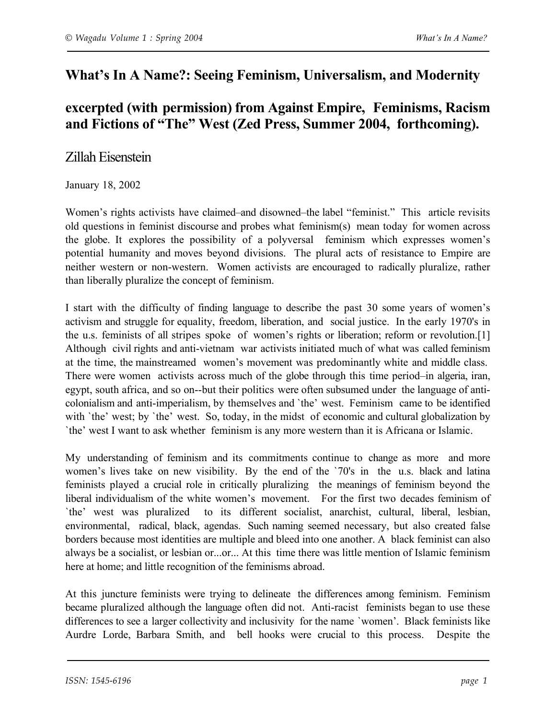## **What's In A Name?: Seeing Feminism, Universalism, and Modernity**

## **excerpted (with permission) from Against Empire, Feminisms, Racism and Fictions of "The" West (Zed Press, Summer 2004, forthcoming).**

## Zillah Eisenstein

January 18, 2002

Women's rights activists have claimed–and disowned–the label "feminist." This article revisits old questions in feminist discourse and probes what feminism(s) mean today for women across the globe. It explores the possibility of a polyversal feminism which expresses women's potential humanity and moves beyond divisions. The plural acts of resistance to Empire are neither western or non-western. Women activists are encouraged to radically pluralize, rather than liberally pluralize the concept of feminism.

I start with the difficulty of finding language to describe the past 30 some years of women's activism and struggle for equality, freedom, liberation, and social justice. In the early 1970's in the u.s. feminists of all stripes spoke of women's rights or liberation; reform or revolution.[1] Although civil rights and anti-vietnam war activists initiated much of what was called feminism at the time, the mainstreamed women's movement was predominantly white and middle class. There were women activists across much of the globe through this time period–in algeria, iran, egypt, south africa, and so on--but their politics were often subsumed under the language of anticolonialism and anti-imperialism, by themselves and `the' west. Feminism came to be identified with `the' west; by `the' west. So, today, in the midst of economic and cultural globalization by `the' west I want to ask whether feminism is any more western than it is Africana or Islamic.

My understanding of feminism and its commitments continue to change as more and more women's lives take on new visibility. By the end of the `70's in the u.s. black and latina feminists played a crucial role in critically pluralizing the meanings of feminism beyond the liberal individualism of the white women's movement. For the first two decades feminism of `the' west was pluralized to its different socialist, anarchist, cultural, liberal, lesbian, environmental, radical, black, agendas. Such naming seemed necessary, but also created false borders because most identities are multiple and bleed into one another. A black feminist can also always be a socialist, or lesbian or...or... At this time there was little mention of Islamic feminism here at home; and little recognition of the feminisms abroad.

At this juncture feminists were trying to delineate the differences among feminism. Feminism became pluralized although the language often did not. Anti-racist feminists began to use these differences to see a larger collectivity and inclusivity for the name `women'. Black feminists like Aurdre Lorde, Barbara Smith, and bell hooks were crucial to this process. Despite the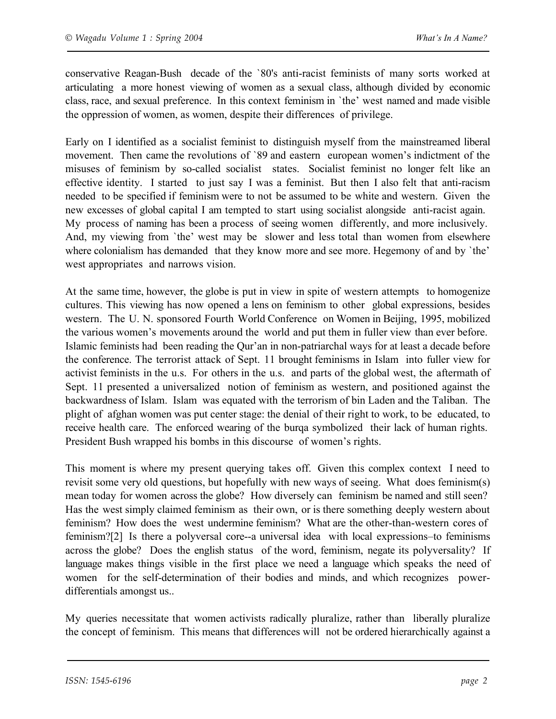conservative Reagan-Bush decade of the `80's anti-racist feminists of many sorts worked at articulating a more honest viewing of women as a sexual class, although divided by economic class, race, and sexual preference. In this context feminism in `the' west named and made visible the oppression of women, as women, despite their differences of privilege.

Early on I identified as a socialist feminist to distinguish myself from the mainstreamed liberal movement. Then came the revolutions of `89 and eastern european women's indictment of the misuses of feminism by so-called socialist states. Socialist feminist no longer felt like an effective identity. I started to just say I was a feminist. But then I also felt that anti-racism needed to be specified if feminism were to not be assumed to be white and western. Given the new excesses of global capital I am tempted to start using socialist alongside anti-racist again. My process of naming has been a process of seeing women differently, and more inclusively. And, my viewing from `the' west may be slower and less total than women from elsewhere where colonialism has demanded that they know more and see more. Hegemony of and by 'the' west appropriates and narrows vision.

At the same time, however, the globe is put in view in spite of western attempts to homogenize cultures. This viewing has now opened a lens on feminism to other global expressions, besides western. The U. N. sponsored Fourth World Conference on Women in Beijing, 1995, mobilized the various women's movements around the world and put them in fuller view than ever before. Islamic feminists had been reading the Qur'an in non-patriarchal ways for at least a decade before the conference. The terrorist attack of Sept. 11 brought feminisms in Islam into fuller view for activist feminists in the u.s. For others in the u.s. and parts of the global west, the aftermath of Sept. 11 presented a universalized notion of feminism as western, and positioned against the backwardness of Islam. Islam was equated with the terrorism of bin Laden and the Taliban. The plight of afghan women was put center stage: the denial of their right to work, to be educated, to receive health care. The enforced wearing of the burqa symbolized their lack of human rights. President Bush wrapped his bombs in this discourse of women's rights.

This moment is where my present querying takes off. Given this complex context I need to revisit some very old questions, but hopefully with new ways of seeing. What does feminism(s) mean today for women across the globe? How diversely can feminism be named and still seen? Has the west simply claimed feminism as their own, or is there something deeply western about feminism? How does the west undermine feminism? What are the other-than-western cores of feminism?[2] Is there a polyversal core--a universal idea with local expressions–to feminisms across the globe? Does the english status of the word, feminism, negate its polyversality? If language makes things visible in the first place we need a language which speaks the need of women for the self-determination of their bodies and minds, and which recognizes powerdifferentials amongst us..

My queries necessitate that women activists radically pluralize, rather than liberally pluralize the concept of feminism. This means that differences will not be ordered hierarchically against a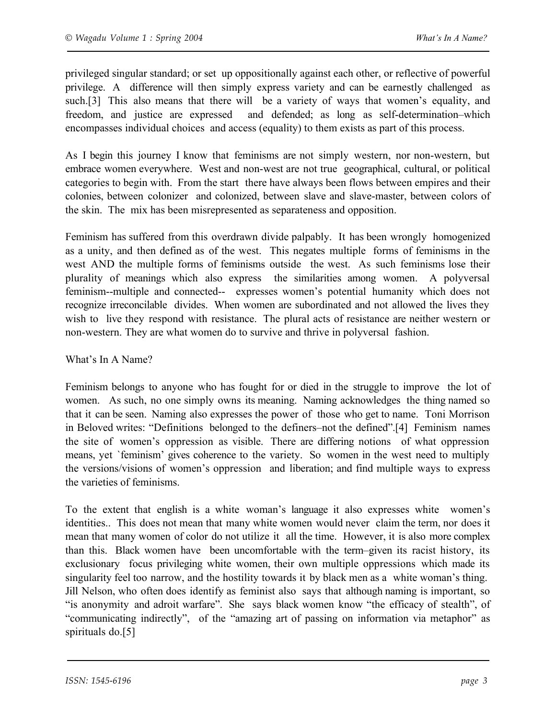privileged singular standard; or set up oppositionally against each other, or reflective of powerful privilege. A difference will then simply express variety and can be earnestly challenged as such.<sup>[3]</sup> This also means that there will be a variety of ways that women's equality, and freedom, and justice are expressed and defended; as long as self-determination–which encompasses individual choices and access (equality) to them exists as part of this process.

As I begin this journey I know that feminisms are not simply western, nor non-western, but embrace women everywhere. West and non-west are not true geographical, cultural, or political categories to begin with. From the start there have always been flows between empires and their colonies, between colonizer and colonized, between slave and slave-master, between colors of the skin. The mix has been misrepresented as separateness and opposition.

Feminism has suffered from this overdrawn divide palpably. It has been wrongly homogenized as a unity, and then defined as of the west. This negates multiple forms of feminisms in the west AND the multiple forms of feminisms outside the west. As such feminisms lose their plurality of meanings which also express the similarities among women. A polyversal feminism--multiple and connected-- expresses women's potential humanity which does not recognize irreconcilable divides. When women are subordinated and not allowed the lives they wish to live they respond with resistance. The plural acts of resistance are neither western or non-western. They are what women do to survive and thrive in polyversal fashion.

What's In A Name?

Feminism belongs to anyone who has fought for or died in the struggle to improve the lot of women. As such, no one simply owns its meaning. Naming acknowledges the thing named so that it can be seen. Naming also expresses the power of those who get to name. Toni Morrison in Beloved writes: "Definitions belonged to the definers–not the defined".[4] Feminism names the site of women's oppression as visible. There are differing notions of what oppression means, yet `feminism' gives coherence to the variety. So women in the west need to multiply the versions/visions of women's oppression and liberation; and find multiple ways to express the varieties of feminisms.

To the extent that english is a white woman's language it also expresses white women's identities.. This does not mean that many white women would never claim the term, nor does it mean that many women of color do not utilize it all the time. However, it is also more complex than this. Black women have been uncomfortable with the term–given its racist history, its exclusionary focus privileging white women, their own multiple oppressions which made its singularity feel too narrow, and the hostility towards it by black men as a white woman's thing. Jill Nelson, who often does identify as feminist also says that although naming is important, so "is anonymity and adroit warfare". She says black women know "the efficacy of stealth", of "communicating indirectly", of the "amazing art of passing on information via metaphor" as spirituals do.[5]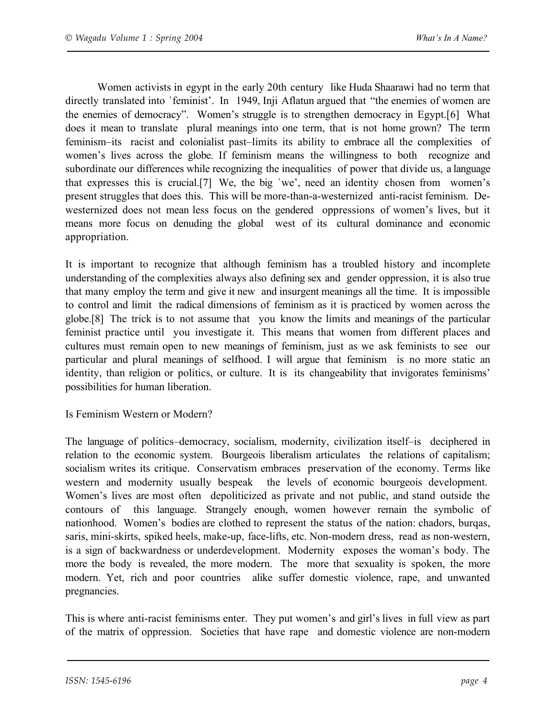Women activists in egypt in the early 20th century like Huda Shaarawi had no term that directly translated into `feminist'. In 1949, Inji Aflatun argued that "the enemies of women are the enemies of democracy". Women's struggle is to strengthen democracy in Egypt.[6] What does it mean to translate plural meanings into one term, that is not home grown? The term feminism–its racist and colonialist past–limits its ability to embrace all the complexities of women's lives across the globe. If feminism means the willingness to both recognize and subordinate our differences while recognizing the inequalities of power that divide us, a language that expresses this is crucial.[7] We, the big `we', need an identity chosen from women's present struggles that does this. This will be more-than-a-westernized anti-racist feminism. Dewesternized does not mean less focus on the gendered oppressions of women's lives, but it means more focus on denuding the global west of its cultural dominance and economic appropriation.

It is important to recognize that although feminism has a troubled history and incomplete understanding of the complexities always also defining sex and gender oppression, it is also true that many employ the term and give it new and insurgent meanings all the time. It is impossible to control and limit the radical dimensions of feminism as it is practiced by women across the globe.[8] The trick is to not assume that you know the limits and meanings of the particular feminist practice until you investigate it. This means that women from different places and cultures must remain open to new meanings of feminism, just as we ask feminists to see our particular and plural meanings of selfhood. I will argue that feminism is no more static an identity, than religion or politics, or culture. It is its changeability that invigorates feminisms' possibilities for human liberation.

Is Feminism Western or Modern?

The language of politics–democracy, socialism, modernity, civilization itself–is deciphered in relation to the economic system. Bourgeois liberalism articulates the relations of capitalism; socialism writes its critique. Conservatism embraces preservation of the economy. Terms like western and modernity usually bespeak the levels of economic bourgeois development. Women's lives are most often depoliticized as private and not public, and stand outside the contours of this language. Strangely enough, women however remain the symbolic of nationhood. Women's bodies are clothed to represent the status of the nation: chadors, burqas, saris, mini-skirts, spiked heels, make-up, face-lifts, etc. Non-modern dress, read as non-western, is a sign of backwardness or underdevelopment. Modernity exposes the woman's body. The more the body is revealed, the more modern. The more that sexuality is spoken, the more modern. Yet, rich and poor countries alike suffer domestic violence, rape, and unwanted pregnancies.

This is where anti-racist feminisms enter. They put women's and girl's lives in full view as part of the matrix of oppression. Societies that have rape and domestic violence are non-modern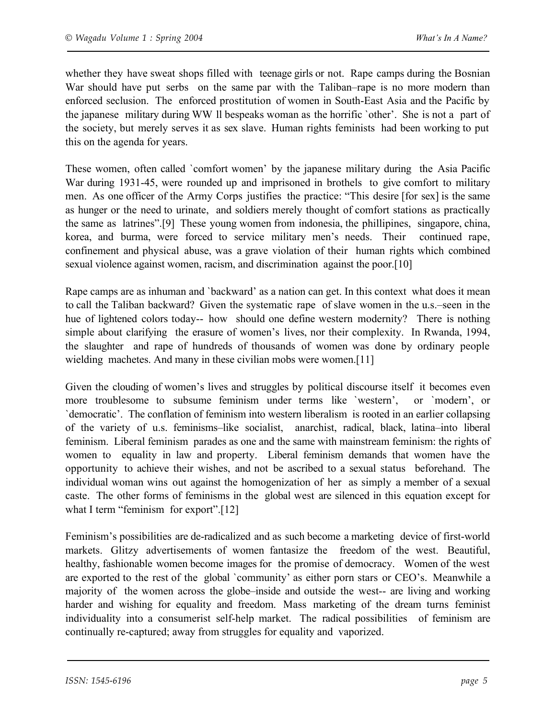whether they have sweat shops filled with teenage girls or not. Rape camps during the Bosnian War should have put serbs on the same par with the Taliban–rape is no more modern than enforced seclusion. The enforced prostitution of women in South-East Asia and the Pacific by the japanese military during WW ll bespeaks woman as the horrific `other'. She is not a part of the society, but merely serves it as sex slave. Human rights feminists had been working to put this on the agenda for years.

These women, often called `comfort women' by the japanese military during the Asia Pacific War during 1931-45, were rounded up and imprisoned in brothels to give comfort to military men. As one officer of the Army Corps justifies the practice: "This desire [for sex] is the same as hunger or the need to urinate, and soldiers merely thought of comfort stations as practically the same as latrines".[9] These young women from indonesia, the phillipines, singapore, china, korea, and burma, were forced to service military men's needs. Their continued rape, confinement and physical abuse, was a grave violation of their human rights which combined sexual violence against women, racism, and discrimination against the poor.[10]

Rape camps are as inhuman and `backward' as a nation can get. In this context what does it mean to call the Taliban backward? Given the systematic rape of slave women in the u.s.–seen in the hue of lightened colors today-- how should one define western modernity? There is nothing simple about clarifying the erasure of women's lives, nor their complexity. In Rwanda, 1994, the slaughter and rape of hundreds of thousands of women was done by ordinary people wielding machetes. And many in these civilian mobs were women.<sup>[11]</sup>

Given the clouding of women's lives and struggles by political discourse itself it becomes even more troublesome to subsume feminism under terms like `western', or `modern', or `democratic'. The conflation of feminism into western liberalism is rooted in an earlier collapsing of the variety of u.s. feminisms–like socialist, anarchist, radical, black, latina–into liberal feminism. Liberal feminism parades as one and the same with mainstream feminism: the rights of women to equality in law and property. Liberal feminism demands that women have the opportunity to achieve their wishes, and not be ascribed to a sexual status beforehand. The individual woman wins out against the homogenization of her as simply a member of a sexual caste. The other forms of feminisms in the global west are silenced in this equation except for what I term "feminism for export".[12]

Feminism's possibilities are de-radicalized and as such become a marketing device of first-world markets. Glitzy advertisements of women fantasize the freedom of the west. Beautiful, healthy, fashionable women become images for the promise of democracy. Women of the west are exported to the rest of the global `community' as either porn stars or CEO's. Meanwhile a majority of the women across the globe–inside and outside the west-- are living and working harder and wishing for equality and freedom. Mass marketing of the dream turns feminist individuality into a consumerist self-help market. The radical possibilities of feminism are continually re-captured; away from struggles for equality and vaporized.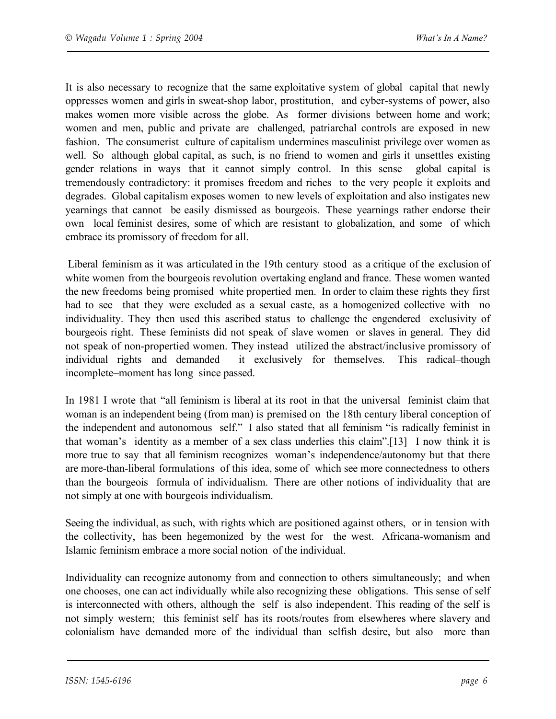It is also necessary to recognize that the same exploitative system of global capital that newly oppresses women and girls in sweat-shop labor, prostitution, and cyber-systems of power, also makes women more visible across the globe. As former divisions between home and work; women and men, public and private are challenged, patriarchal controls are exposed in new fashion. The consumerist culture of capitalism undermines masculinist privilege over women as well. So although global capital, as such, is no friend to women and girls it unsettles existing gender relations in ways that it cannot simply control. In this sense global capital is tremendously contradictory: it promises freedom and riches to the very people it exploits and degrades. Global capitalism exposes women to new levels of exploitation and also instigates new yearnings that cannot be easily dismissed as bourgeois. These yearnings rather endorse their own local feminist desires, some of which are resistant to globalization, and some of which embrace its promissory of freedom for all.

 Liberal feminism as it was articulated in the 19th century stood as a critique of the exclusion of white women from the bourgeois revolution overtaking england and france. These women wanted the new freedoms being promised white propertied men. In order to claim these rights they first had to see that they were excluded as a sexual caste, as a homogenized collective with no individuality. They then used this ascribed status to challenge the engendered exclusivity of bourgeois right. These feminists did not speak of slave women or slaves in general. They did not speak of non-propertied women. They instead utilized the abstract/inclusive promissory of individual rights and demanded it exclusively for themselves. This radical–though incomplete–moment has long since passed.

In 1981 I wrote that "all feminism is liberal at its root in that the universal feminist claim that woman is an independent being (from man) is premised on the 18th century liberal conception of the independent and autonomous self." I also stated that all feminism "is radically feminist in that woman's identity as a member of a sex class underlies this claim".[13] I now think it is more true to say that all feminism recognizes woman's independence/autonomy but that there are more-than-liberal formulations of this idea, some of which see more connectedness to others than the bourgeois formula of individualism. There are other notions of individuality that are not simply at one with bourgeois individualism.

Seeing the individual, as such, with rights which are positioned against others, or in tension with the collectivity, has been hegemonized by the west for the west. Africana-womanism and Islamic feminism embrace a more social notion of the individual.

Individuality can recognize autonomy from and connection to others simultaneously; and when one chooses, one can act individually while also recognizing these obligations. This sense of self is interconnected with others, although the self is also independent. This reading of the self is not simply western; this feminist self has its roots/routes from elsewheres where slavery and colonialism have demanded more of the individual than selfish desire, but also more than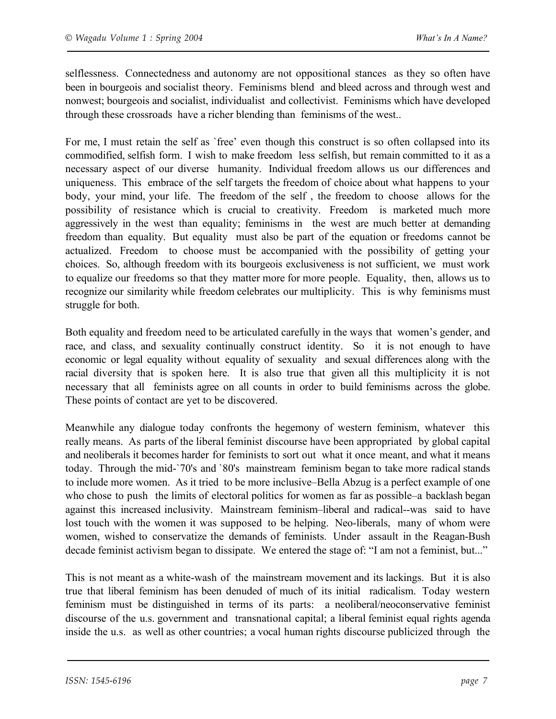selflessness. Connectedness and autonomy are not oppositional stances as they so often have been in bourgeois and socialist theory. Feminisms blend and bleed across and through west and nonwest; bourgeois and socialist, individualist and collectivist. Feminisms which have developed through these crossroads have a richer blending than feminisms of the west..

For me, I must retain the self as `free' even though this construct is so often collapsed into its commodified, selfish form. I wish to make freedom less selfish, but remain committed to it as a necessary aspect of our diverse humanity. Individual freedom allows us our differences and uniqueness. This embrace of the self targets the freedom of choice about what happens to your body, your mind, your life. The freedom of the self , the freedom to choose allows for the possibility of resistance which is crucial to creativity. Freedom is marketed much more aggressively in the west than equality; feminisms in the west are much better at demanding freedom than equality. But equality must also be part of the equation or freedoms cannot be actualized. Freedom to choose must be accompanied with the possibility of getting your choices. So, although freedom with its bourgeois exclusiveness is not sufficient, we must work to equalize our freedoms so that they matter more for more people. Equality, then, allows us to recognize our similarity while freedom celebrates our multiplicity. This is why feminisms must struggle for both.

Both equality and freedom need to be articulated carefully in the ways that women's gender, and race, and class, and sexuality continually construct identity. So it is not enough to have economic or legal equality without equality of sexuality and sexual differences along with the racial diversity that is spoken here. It is also true that given all this multiplicity it is not necessary that all feminists agree on all counts in order to build feminisms across the globe. These points of contact are yet to be discovered.

Meanwhile any dialogue today confronts the hegemony of western feminism, whatever this really means. As parts of the liberal feminist discourse have been appropriated by global capital and neoliberals it becomes harder for feminists to sort out what it once meant, and what it means today. Through the mid-`70's and `80's mainstream feminism began to take more radical stands to include more women. As it tried to be more inclusive–Bella Abzug is a perfect example of one who chose to push the limits of electoral politics for women as far as possible–a backlash began against this increased inclusivity. Mainstream feminism–liberal and radical--was said to have lost touch with the women it was supposed to be helping. Neo-liberals, many of whom were women, wished to conservatize the demands of feminists. Under assault in the Reagan-Bush decade feminist activism began to dissipate. We entered the stage of: "I am not a feminist, but..."

This is not meant as a white-wash of the mainstream movement and its lackings. But it is also true that liberal feminism has been denuded of much of its initial radicalism. Today western feminism must be distinguished in terms of its parts: a neoliberal/neoconservative feminist discourse of the u.s. government and transnational capital; a liberal feminist equal rights agenda inside the u.s. as well as other countries; a vocal human rights discourse publicized through the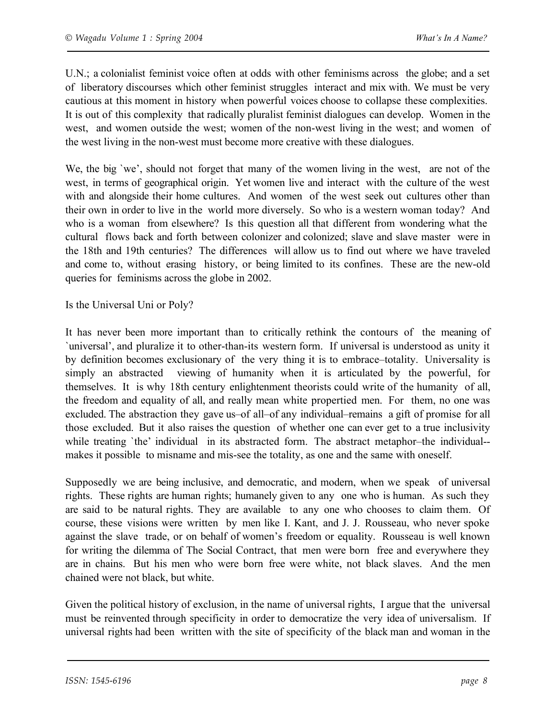U.N.; a colonialist feminist voice often at odds with other feminisms across the globe; and a set of liberatory discourses which other feminist struggles interact and mix with. We must be very cautious at this moment in history when powerful voices choose to collapse these complexities. It is out of this complexity that radically pluralist feminist dialogues can develop. Women in the west, and women outside the west; women of the non-west living in the west; and women of the west living in the non-west must become more creative with these dialogues.

We, the big `we', should not forget that many of the women living in the west, are not of the west, in terms of geographical origin. Yet women live and interact with the culture of the west with and alongside their home cultures. And women of the west seek out cultures other than their own in order to live in the world more diversely. So who is a western woman today? And who is a woman from elsewhere? Is this question all that different from wondering what the cultural flows back and forth between colonizer and colonized; slave and slave master were in the 18th and 19th centuries? The differences will allow us to find out where we have traveled and come to, without erasing history, or being limited to its confines. These are the new-old queries for feminisms across the globe in 2002.

Is the Universal Uni or Poly?

It has never been more important than to critically rethink the contours of the meaning of `universal', and pluralize it to other-than-its western form. If universal is understood as unity it by definition becomes exclusionary of the very thing it is to embrace–totality. Universality is simply an abstracted viewing of humanity when it is articulated by the powerful, for themselves. It is why 18th century enlightenment theorists could write of the humanity of all, the freedom and equality of all, and really mean white propertied men. For them, no one was excluded. The abstraction they gave us–of all–of any individual–remains a gift of promise for all those excluded. But it also raises the question of whether one can ever get to a true inclusivity while treating `the' individual in its abstracted form. The abstract metaphor–the individual-makes it possible to misname and mis-see the totality, as one and the same with oneself.

Supposedly we are being inclusive, and democratic, and modern, when we speak of universal rights. These rights are human rights; humanely given to any one who is human. As such they are said to be natural rights. They are available to any one who chooses to claim them. Of course, these visions were written by men like I. Kant, and J. J. Rousseau, who never spoke against the slave trade, or on behalf of women's freedom or equality. Rousseau is well known for writing the dilemma of The Social Contract, that men were born free and everywhere they are in chains. But his men who were born free were white, not black slaves. And the men chained were not black, but white.

Given the political history of exclusion, in the name of universal rights, I argue that the universal must be reinvented through specificity in order to democratize the very idea of universalism. If universal rights had been written with the site of specificity of the black man and woman in the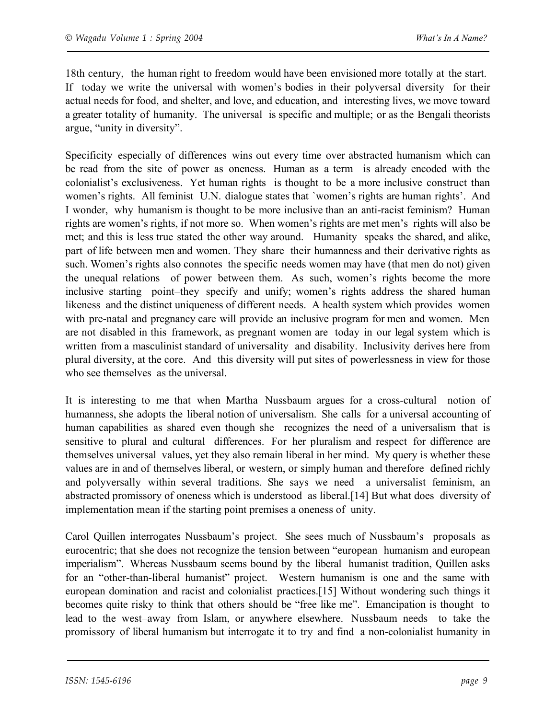18th century, the human right to freedom would have been envisioned more totally at the start. If today we write the universal with women's bodies in their polyversal diversity for their actual needs for food, and shelter, and love, and education, and interesting lives, we move toward a greater totality of humanity. The universal is specific and multiple; or as the Bengali theorists argue, "unity in diversity".

Specificity–especially of differences–wins out every time over abstracted humanism which can be read from the site of power as oneness. Human as a term is already encoded with the colonialist's exclusiveness. Yet human rights is thought to be a more inclusive construct than women's rights. All feminist U.N. dialogue states that `women's rights are human rights'. And I wonder, why humanism is thought to be more inclusive than an anti-racist feminism? Human rights are women's rights, if not more so. When women's rights are met men's rights will also be met; and this is less true stated the other way around. Humanity speaks the shared, and alike, part of life between men and women. They share their humanness and their derivative rights as such. Women's rights also connotes the specific needs women may have (that men do not) given the unequal relations of power between them. As such, women's rights become the more inclusive starting point–they specify and unify; women's rights address the shared human likeness and the distinct uniqueness of different needs. A health system which provides women with pre-natal and pregnancy care will provide an inclusive program for men and women. Men are not disabled in this framework, as pregnant women are today in our legal system which is written from a masculinist standard of universality and disability. Inclusivity derives here from plural diversity, at the core. And this diversity will put sites of powerlessness in view for those who see themselves as the universal.

It is interesting to me that when Martha Nussbaum argues for a cross-cultural notion of humanness, she adopts the liberal notion of universalism. She calls for a universal accounting of human capabilities as shared even though she recognizes the need of a universalism that is sensitive to plural and cultural differences. For her pluralism and respect for difference are themselves universal values, yet they also remain liberal in her mind. My query is whether these values are in and of themselves liberal, or western, or simply human and therefore defined richly and polyversally within several traditions. She says we need a universalist feminism, an abstracted promissory of oneness which is understood as liberal.[14] But what does diversity of implementation mean if the starting point premises a oneness of unity.

Carol Quillen interrogates Nussbaum's project. She sees much of Nussbaum's proposals as eurocentric; that she does not recognize the tension between "european humanism and european imperialism". Whereas Nussbaum seems bound by the liberal humanist tradition, Quillen asks for an "other-than-liberal humanist" project. Western humanism is one and the same with european domination and racist and colonialist practices.[15] Without wondering such things it becomes quite risky to think that others should be "free like me". Emancipation is thought to lead to the west–away from Islam, or anywhere elsewhere. Nussbaum needs to take the promissory of liberal humanism but interrogate it to try and find a non-colonialist humanity in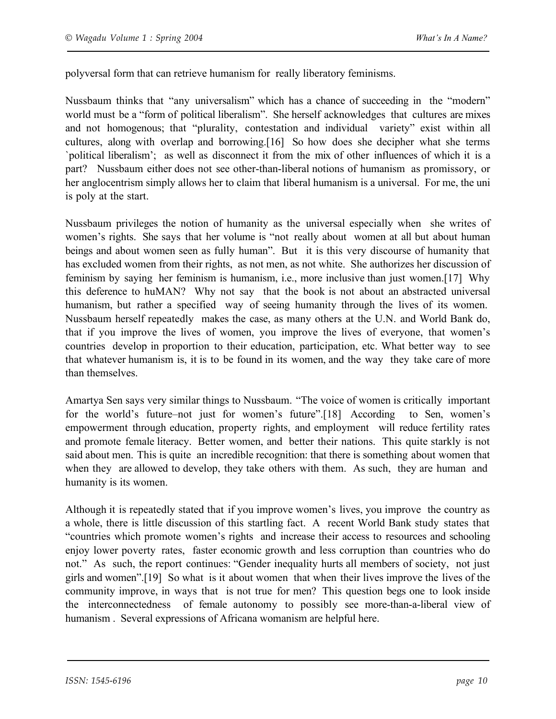polyversal form that can retrieve humanism for really liberatory feminisms.

Nussbaum thinks that "any universalism" which has a chance of succeeding in the "modern" world must be a "form of political liberalism". She herself acknowledges that cultures are mixes and not homogenous; that "plurality, contestation and individual variety" exist within all cultures, along with overlap and borrowing.[16] So how does she decipher what she terms `political liberalism'; as well as disconnect it from the mix of other influences of which it is a part? Nussbaum either does not see other-than-liberal notions of humanism as promissory, or her anglocentrism simply allows her to claim that liberal humanism is a universal. For me, the uni is poly at the start.

Nussbaum privileges the notion of humanity as the universal especially when she writes of women's rights. She says that her volume is "not really about women at all but about human beings and about women seen as fully human". But it is this very discourse of humanity that has excluded women from their rights, as not men, as not white. She authorizes her discussion of feminism by saying her feminism is humanism, i.e., more inclusive than just women.[17] Why this deference to huMAN? Why not say that the book is not about an abstracted universal humanism, but rather a specified way of seeing humanity through the lives of its women. Nussbaum herself repeatedly makes the case, as many others at the U.N. and World Bank do, that if you improve the lives of women, you improve the lives of everyone, that women's countries develop in proportion to their education, participation, etc. What better way to see that whatever humanism is, it is to be found in its women, and the way they take care of more than themselves.

Amartya Sen says very similar things to Nussbaum. "The voice of women is critically important for the world's future–not just for women's future".[18] According to Sen, women's empowerment through education, property rights, and employment will reduce fertility rates and promote female literacy. Better women, and better their nations. This quite starkly is not said about men. This is quite an incredible recognition: that there is something about women that when they are allowed to develop, they take others with them. As such, they are human and humanity is its women.

Although it is repeatedly stated that if you improve women's lives, you improve the country as a whole, there is little discussion of this startling fact. A recent World Bank study states that "countries which promote women's rights and increase their access to resources and schooling enjoy lower poverty rates, faster economic growth and less corruption than countries who do not." As such, the report continues: "Gender inequality hurts all members of society, not just girls and women".[19] So what is it about women that when their lives improve the lives of the community improve, in ways that is not true for men? This question begs one to look inside the interconnectedness of female autonomy to possibly see more-than-a-liberal view of humanism . Several expressions of Africana womanism are helpful here.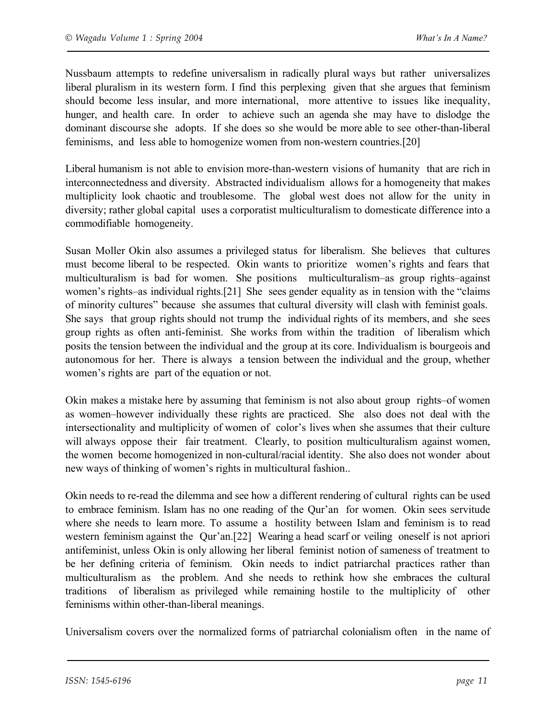Nussbaum attempts to redefine universalism in radically plural ways but rather universalizes liberal pluralism in its western form. I find this perplexing given that she argues that feminism should become less insular, and more international, more attentive to issues like inequality, hunger, and health care. In order to achieve such an agenda she may have to dislodge the dominant discourse she adopts. If she does so she would be more able to see other-than-liberal feminisms, and less able to homogenize women from non-western countries.[20]

Liberal humanism is not able to envision more-than-western visions of humanity that are rich in interconnectedness and diversity. Abstracted individualism allows for a homogeneity that makes multiplicity look chaotic and troublesome. The global west does not allow for the unity in diversity; rather global capital uses a corporatist multiculturalism to domesticate difference into a commodifiable homogeneity.

Susan Moller Okin also assumes a privileged status for liberalism. She believes that cultures must become liberal to be respected. Okin wants to prioritize women's rights and fears that multiculturalism is bad for women. She positions multiculturalism–as group rights–against women's rights–as individual rights.[21] She sees gender equality as in tension with the "claims of minority cultures" because she assumes that cultural diversity will clash with feminist goals. She says that group rights should not trump the individual rights of its members, and she sees group rights as often anti-feminist. She works from within the tradition of liberalism which posits the tension between the individual and the group at its core. Individualism is bourgeois and autonomous for her. There is always a tension between the individual and the group, whether women's rights are part of the equation or not.

Okin makes a mistake here by assuming that feminism is not also about group rights–of women as women–however individually these rights are practiced. She also does not deal with the intersectionality and multiplicity of women of color's lives when she assumes that their culture will always oppose their fair treatment. Clearly, to position multiculturalism against women, the women become homogenized in non-cultural/racial identity. She also does not wonder about new ways of thinking of women's rights in multicultural fashion..

Okin needs to re-read the dilemma and see how a different rendering of cultural rights can be used to embrace feminism. Islam has no one reading of the Qur'an for women. Okin sees servitude where she needs to learn more. To assume a hostility between Islam and feminism is to read western feminism against the Qur'an.[22] Wearing a head scarf or veiling oneself is not apriori antifeminist, unless Okin is only allowing her liberal feminist notion of sameness of treatment to be her defining criteria of feminism. Okin needs to indict patriarchal practices rather than multiculturalism as the problem. And she needs to rethink how she embraces the cultural traditions of liberalism as privileged while remaining hostile to the multiplicity of other feminisms within other-than-liberal meanings.

Universalism covers over the normalized forms of patriarchal colonialism often in the name of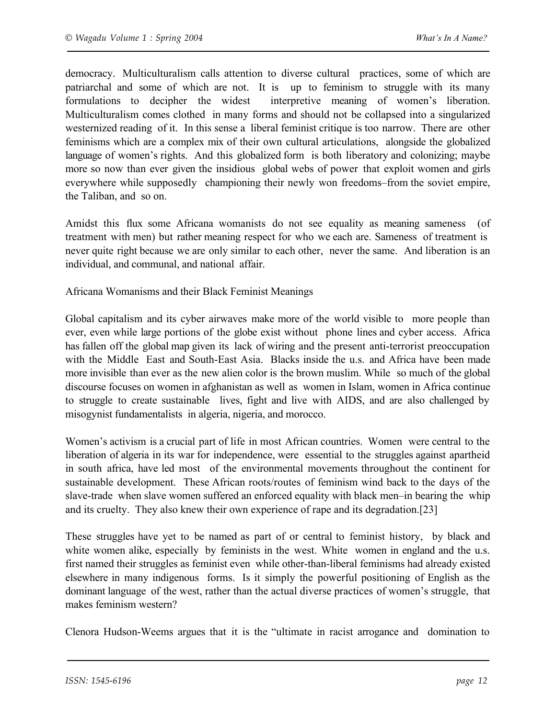democracy. Multiculturalism calls attention to diverse cultural practices, some of which are patriarchal and some of which are not. It is up to feminism to struggle with its many formulations to decipher the widest interpretive meaning of women's liberation. Multiculturalism comes clothed in many forms and should not be collapsed into a singularized westernized reading of it. In this sense a liberal feminist critique is too narrow. There are other feminisms which are a complex mix of their own cultural articulations, alongside the globalized language of women's rights. And this globalized form is both liberatory and colonizing; maybe more so now than ever given the insidious global webs of power that exploit women and girls everywhere while supposedly championing their newly won freedoms–from the soviet empire, the Taliban, and so on.

Amidst this flux some Africana womanists do not see equality as meaning sameness (of treatment with men) but rather meaning respect for who we each are. Sameness of treatment is never quite right because we are only similar to each other, never the same. And liberation is an individual, and communal, and national affair.

Africana Womanisms and their Black Feminist Meanings

Global capitalism and its cyber airwaves make more of the world visible to more people than ever, even while large portions of the globe exist without phone lines and cyber access. Africa has fallen off the global map given its lack of wiring and the present anti-terrorist preoccupation with the Middle East and South-East Asia. Blacks inside the u.s. and Africa have been made more invisible than ever as the new alien color is the brown muslim. While so much of the global discourse focuses on women in afghanistan as well as women in Islam, women in Africa continue to struggle to create sustainable lives, fight and live with AIDS, and are also challenged by misogynist fundamentalists in algeria, nigeria, and morocco.

Women's activism is a crucial part of life in most African countries. Women were central to the liberation of algeria in its war for independence, were essential to the struggles against apartheid in south africa, have led most of the environmental movements throughout the continent for sustainable development. These African roots/routes of feminism wind back to the days of the slave-trade when slave women suffered an enforced equality with black men–in bearing the whip and its cruelty. They also knew their own experience of rape and its degradation.[23]

These struggles have yet to be named as part of or central to feminist history, by black and white women alike, especially by feminists in the west. White women in england and the u.s. first named their struggles as feminist even while other-than-liberal feminisms had already existed elsewhere in many indigenous forms. Is it simply the powerful positioning of English as the dominant language of the west, rather than the actual diverse practices of women's struggle, that makes feminism western?

Clenora Hudson-Weems argues that it is the "ultimate in racist arrogance and domination to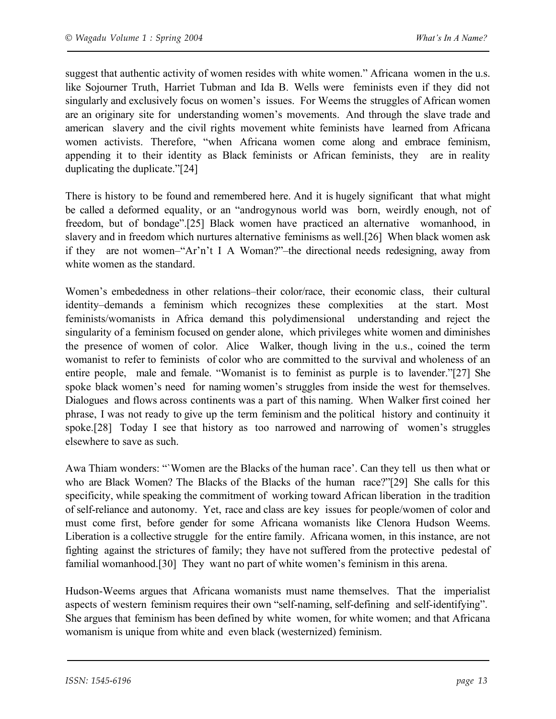suggest that authentic activity of women resides with white women." Africana women in the u.s. like Sojourner Truth, Harriet Tubman and Ida B. Wells were feminists even if they did not singularly and exclusively focus on women's issues. For Weems the struggles of African women are an originary site for understanding women's movements. And through the slave trade and american slavery and the civil rights movement white feminists have learned from Africana women activists. Therefore, "when Africana women come along and embrace feminism, appending it to their identity as Black feminists or African feminists, they are in reality duplicating the duplicate."[24]

There is history to be found and remembered here. And it is hugely significant that what might be called a deformed equality, or an "androgynous world was born, weirdly enough, not of freedom, but of bondage".[25] Black women have practiced an alternative womanhood, in slavery and in freedom which nurtures alternative feminisms as well.[26] When black women ask if they are not women–"Ar'n't I A Woman?"–the directional needs redesigning, away from white women as the standard

Women's embededness in other relations–their color/race, their economic class, their cultural identity–demands a feminism which recognizes these complexities at the start. Most feminists/womanists in Africa demand this polydimensional understanding and reject the singularity of a feminism focused on gender alone, which privileges white women and diminishes the presence of women of color. Alice Walker, though living in the u.s., coined the term womanist to refer to feminists of color who are committed to the survival and wholeness of an entire people, male and female. "Womanist is to feminist as purple is to lavender."[27] She spoke black women's need for naming women's struggles from inside the west for themselves. Dialogues and flows across continents was a part of this naming. When Walker first coined her phrase, I was not ready to give up the term feminism and the political history and continuity it spoke.[28] Today I see that history as too narrowed and narrowing of women's struggles elsewhere to save as such.

Awa Thiam wonders: "`Women are the Blacks of the human race'. Can they tell us then what or who are Black Women? The Blacks of the Blacks of the human race?"[29] She calls for this specificity, while speaking the commitment of working toward African liberation in the tradition of self-reliance and autonomy. Yet, race and class are key issues for people/women of color and must come first, before gender for some Africana womanists like Clenora Hudson Weems. Liberation is a collective struggle for the entire family. Africana women, in this instance, are not fighting against the strictures of family; they have not suffered from the protective pedestal of familial womanhood.[30] They want no part of white women's feminism in this arena.

Hudson-Weems argues that Africana womanists must name themselves. That the imperialist aspects of western feminism requires their own "self-naming, self-defining and self-identifying". She argues that feminism has been defined by white women, for white women; and that Africana womanism is unique from white and even black (westernized) feminism.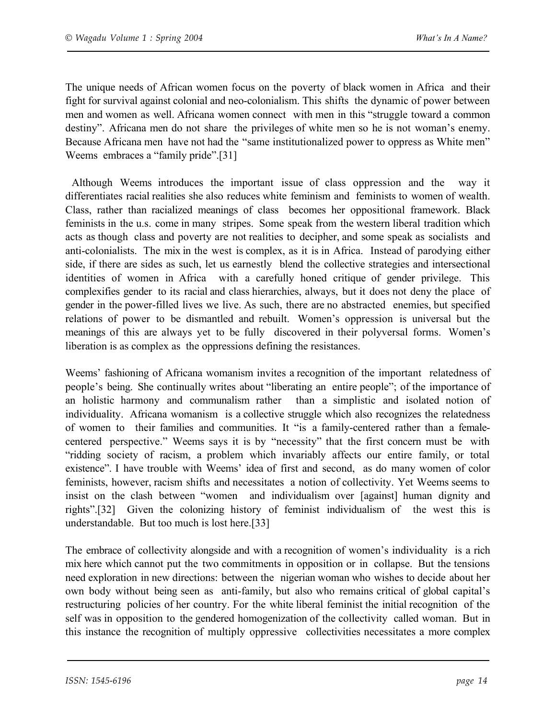The unique needs of African women focus on the poverty of black women in Africa and their fight for survival against colonial and neo-colonialism. This shifts the dynamic of power between men and women as well. Africana women connect with men in this "struggle toward a common destiny". Africana men do not share the privileges of white men so he is not woman's enemy. Because Africana men have not had the "same institutionalized power to oppress as White men" Weems embraces a "family pride".<sup>[31]</sup>

Although Weems introduces the important issue of class oppression and the way it differentiates racial realities she also reduces white feminism and feminists to women of wealth. Class, rather than racialized meanings of class becomes her oppositional framework. Black feminists in the u.s. come in many stripes. Some speak from the western liberal tradition which acts as though class and poverty are not realities to decipher, and some speak as socialists and anti-colonialists. The mix in the west is complex, as it is in Africa. Instead of parodying either side, if there are sides as such, let us earnestly blend the collective strategies and intersectional identities of women in Africa with a carefully honed critique of gender privilege. This complexifies gender to its racial and class hierarchies, always, but it does not deny the place of gender in the power-filled lives we live. As such, there are no abstracted enemies, but specified relations of power to be dismantled and rebuilt. Women's oppression is universal but the meanings of this are always yet to be fully discovered in their polyversal forms. Women's liberation is as complex as the oppressions defining the resistances.

Weems' fashioning of Africana womanism invites a recognition of the important relatedness of people's being. She continually writes about "liberating an entire people"; of the importance of an holistic harmony and communalism rather than a simplistic and isolated notion of individuality. Africana womanism is a collective struggle which also recognizes the relatedness of women to their families and communities. It "is a family-centered rather than a femalecentered perspective." Weems says it is by "necessity" that the first concern must be with "ridding society of racism, a problem which invariably affects our entire family, or total existence". I have trouble with Weems' idea of first and second, as do many women of color feminists, however, racism shifts and necessitates a notion of collectivity. Yet Weems seems to insist on the clash between "women and individualism over [against] human dignity and rights".[32] Given the colonizing history of feminist individualism of the west this is understandable. But too much is lost here.[33]

The embrace of collectivity alongside and with a recognition of women's individuality is a rich mix here which cannot put the two commitments in opposition or in collapse. But the tensions need exploration in new directions: between the nigerian woman who wishes to decide about her own body without being seen as anti-family, but also who remains critical of global capital's restructuring policies of her country. For the white liberal feminist the initial recognition of the self was in opposition to the gendered homogenization of the collectivity called woman. But in this instance the recognition of multiply oppressive collectivities necessitates a more complex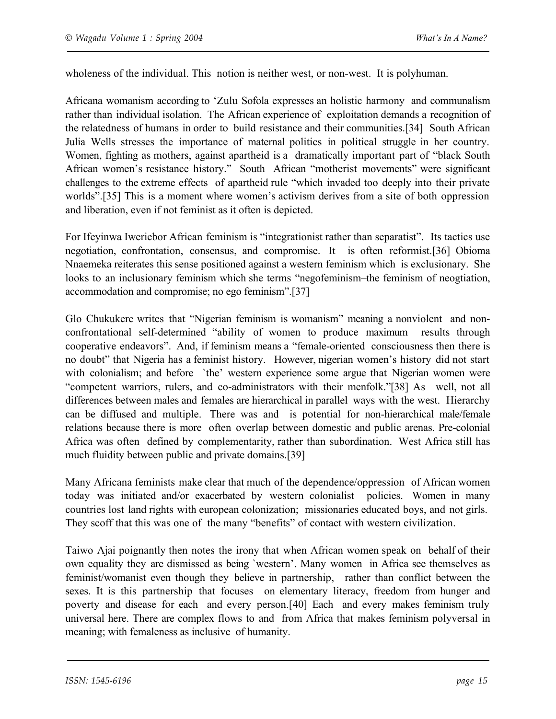wholeness of the individual. This notion is neither west, or non-west. It is polyhuman.

Africana womanism according to 'Zulu Sofola expresses an holistic harmony and communalism rather than individual isolation. The African experience of exploitation demands a recognition of the relatedness of humans in order to build resistance and their communities.[34] South African Julia Wells stresses the importance of maternal politics in political struggle in her country. Women, fighting as mothers, against apartheid is a dramatically important part of "black South African women's resistance history." South African "motherist movements" were significant challenges to the extreme effects of apartheid rule "which invaded too deeply into their private worlds".[35] This is a moment where women's activism derives from a site of both oppression and liberation, even if not feminist as it often is depicted.

For Ifeyinwa Iweriebor African feminism is "integrationist rather than separatist". Its tactics use negotiation, confrontation, consensus, and compromise. It is often reformist.[36] Obioma Nnaemeka reiterates this sense positioned against a western feminism which is exclusionary. She looks to an inclusionary feminism which she terms "negofeminism–the feminism of neogtiation, accommodation and compromise; no ego feminism".[37]

Glo Chukukere writes that "Nigerian feminism is womanism" meaning a nonviolent and nonconfrontational self-determined "ability of women to produce maximum results through cooperative endeavors". And, if feminism means a "female-oriented consciousness then there is no doubt" that Nigeria has a feminist history. However, nigerian women's history did not start with colonialism; and before `the' western experience some argue that Nigerian women were "competent warriors, rulers, and co-administrators with their menfolk."[38] As well, not all differences between males and females are hierarchical in parallel ways with the west. Hierarchy can be diffused and multiple. There was and is potential for non-hierarchical male/female relations because there is more often overlap between domestic and public arenas. Pre-colonial Africa was often defined by complementarity, rather than subordination. West Africa still has much fluidity between public and private domains.[39]

Many Africana feminists make clear that much of the dependence/oppression of African women today was initiated and/or exacerbated by western colonialist policies. Women in many countries lost land rights with european colonization; missionaries educated boys, and not girls. They scoff that this was one of the many "benefits" of contact with western civilization.

Taiwo Ajai poignantly then notes the irony that when African women speak on behalf of their own equality they are dismissed as being `western'. Many women in Africa see themselves as feminist/womanist even though they believe in partnership, rather than conflict between the sexes. It is this partnership that focuses on elementary literacy, freedom from hunger and poverty and disease for each and every person.[40] Each and every makes feminism truly universal here. There are complex flows to and from Africa that makes feminism polyversal in meaning; with femaleness as inclusive of humanity.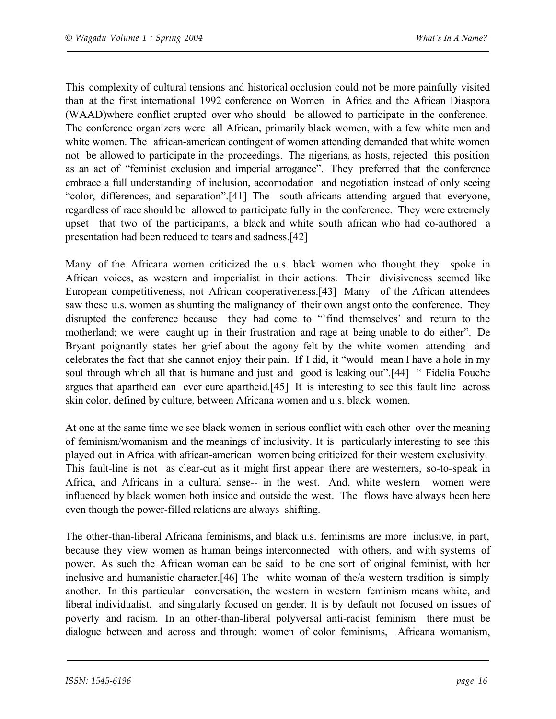This complexity of cultural tensions and historical occlusion could not be more painfully visited than at the first international 1992 conference on Women in Africa and the African Diaspora (WAAD)where conflict erupted over who should be allowed to participate in the conference. The conference organizers were all African, primarily black women, with a few white men and white women. The african-american contingent of women attending demanded that white women not be allowed to participate in the proceedings. The nigerians, as hosts, rejected this position as an act of "feminist exclusion and imperial arrogance". They preferred that the conference embrace a full understanding of inclusion, accomodation and negotiation instead of only seeing "color, differences, and separation".[41] The south-africans attending argued that everyone, regardless of race should be allowed to participate fully in the conference. They were extremely upset that two of the participants, a black and white south african who had co-authored a presentation had been reduced to tears and sadness.[42]

Many of the Africana women criticized the u.s. black women who thought they spoke in African voices, as western and imperialist in their actions. Their divisiveness seemed like European competitiveness, not African cooperativeness.[43] Many of the African attendees saw these u.s. women as shunting the malignancy of their own angst onto the conference. They disrupted the conference because they had come to "find themselves' and return to the motherland; we were caught up in their frustration and rage at being unable to do either". De Bryant poignantly states her grief about the agony felt by the white women attending and celebrates the fact that she cannot enjoy their pain. If I did, it "would mean I have a hole in my soul through which all that is humane and just and good is leaking out".[44] " Fidelia Fouche argues that apartheid can ever cure apartheid.[45] It is interesting to see this fault line across skin color, defined by culture, between Africana women and u.s. black women.

At one at the same time we see black women in serious conflict with each other over the meaning of feminism/womanism and the meanings of inclusivity. It is particularly interesting to see this played out in Africa with african-american women being criticized for their western exclusivity. This fault-line is not as clear-cut as it might first appear–there are westerners, so-to-speak in Africa, and Africans–in a cultural sense-- in the west. And, white western women were influenced by black women both inside and outside the west. The flows have always been here even though the power-filled relations are always shifting.

The other-than-liberal Africana feminisms, and black u.s. feminisms are more inclusive, in part, because they view women as human beings interconnected with others, and with systems of power. As such the African woman can be said to be one sort of original feminist, with her inclusive and humanistic character.[46] The white woman of the/a western tradition is simply another. In this particular conversation, the western in western feminism means white, and liberal individualist, and singularly focused on gender. It is by default not focused on issues of poverty and racism. In an other-than-liberal polyversal anti-racist feminism there must be dialogue between and across and through: women of color feminisms, Africana womanism,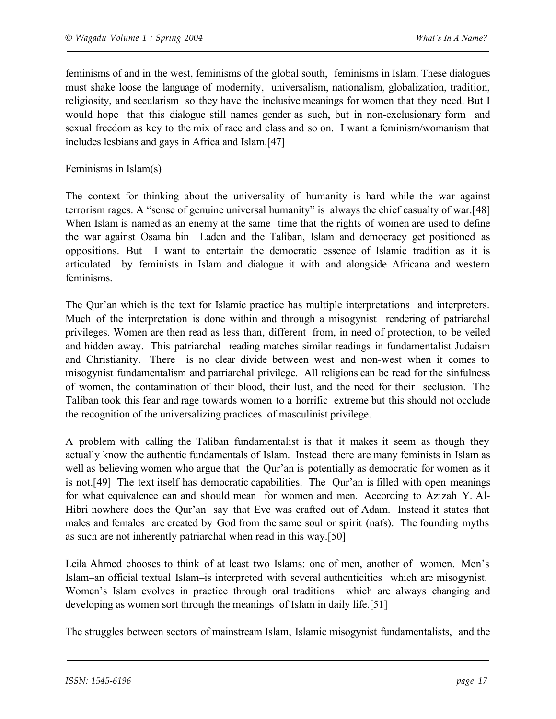feminisms of and in the west, feminisms of the global south, feminisms in Islam. These dialogues must shake loose the language of modernity, universalism, nationalism, globalization, tradition, religiosity, and secularism so they have the inclusive meanings for women that they need. But I would hope that this dialogue still names gender as such, but in non-exclusionary form and sexual freedom as key to the mix of race and class and so on. I want a feminism/womanism that includes lesbians and gays in Africa and Islam.[47]

Feminisms in Islam(s)

The context for thinking about the universality of humanity is hard while the war against terrorism rages. A "sense of genuine universal humanity" is always the chief casualty of war.[48] When Islam is named as an enemy at the same time that the rights of women are used to define the war against Osama bin Laden and the Taliban, Islam and democracy get positioned as oppositions. But I want to entertain the democratic essence of Islamic tradition as it is articulated by feminists in Islam and dialogue it with and alongside Africana and western feminisms.

The Qur'an which is the text for Islamic practice has multiple interpretations and interpreters. Much of the interpretation is done within and through a misogynist rendering of patriarchal privileges. Women are then read as less than, different from, in need of protection, to be veiled and hidden away. This patriarchal reading matches similar readings in fundamentalist Judaism and Christianity. There is no clear divide between west and non-west when it comes to misogynist fundamentalism and patriarchal privilege. All religions can be read for the sinfulness of women, the contamination of their blood, their lust, and the need for their seclusion. The Taliban took this fear and rage towards women to a horrific extreme but this should not occlude the recognition of the universalizing practices of masculinist privilege.

A problem with calling the Taliban fundamentalist is that it makes it seem as though they actually know the authentic fundamentals of Islam. Instead there are many feminists in Islam as well as believing women who argue that the Qur'an is potentially as democratic for women as it is not.[49] The text itself has democratic capabilities. The Qur'an is filled with open meanings for what equivalence can and should mean for women and men. According to Azizah Y. Al-Hibri nowhere does the Qur'an say that Eve was crafted out of Adam. Instead it states that males and females are created by God from the same soul or spirit (nafs). The founding myths as such are not inherently patriarchal when read in this way.[50]

Leila Ahmed chooses to think of at least two Islams: one of men, another of women. Men's Islam–an official textual Islam–is interpreted with several authenticities which are misogynist. Women's Islam evolves in practice through oral traditions which are always changing and developing as women sort through the meanings of Islam in daily life.[51]

The struggles between sectors of mainstream Islam, Islamic misogynist fundamentalists, and the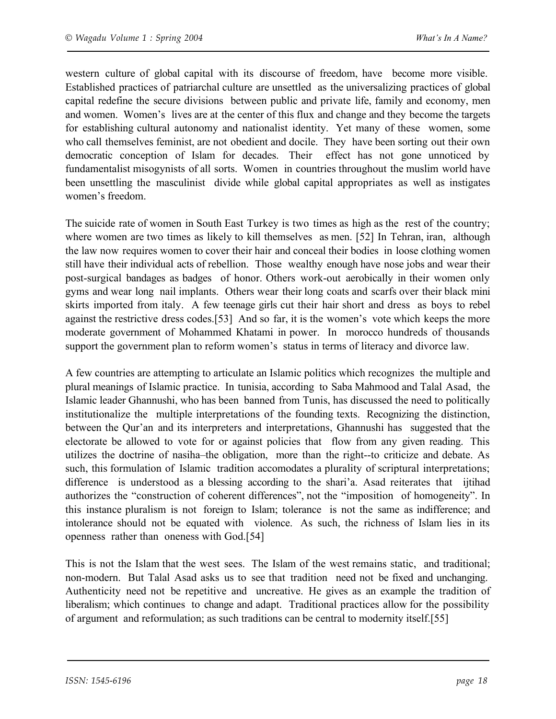western culture of global capital with its discourse of freedom, have become more visible. Established practices of patriarchal culture are unsettled as the universalizing practices of global capital redefine the secure divisions between public and private life, family and economy, men and women. Women's lives are at the center of this flux and change and they become the targets for establishing cultural autonomy and nationalist identity. Yet many of these women, some who call themselves feminist, are not obedient and docile. They have been sorting out their own democratic conception of Islam for decades. Their effect has not gone unnoticed by fundamentalist misogynists of all sorts. Women in countries throughout the muslim world have been unsettling the masculinist divide while global capital appropriates as well as instigates women's freedom.

The suicide rate of women in South East Turkey is two times as high as the rest of the country; where women are two times as likely to kill themselves as men. [52] In Tehran, iran, although the law now requires women to cover their hair and conceal their bodies in loose clothing women still have their individual acts of rebellion. Those wealthy enough have nose jobs and wear their post-surgical bandages as badges of honor. Others work-out aerobically in their women only gyms and wear long nail implants. Others wear their long coats and scarfs over their black mini skirts imported from italy. A few teenage girls cut their hair short and dress as boys to rebel against the restrictive dress codes.[53] And so far, it is the women's vote which keeps the more moderate government of Mohammed Khatami in power. In morocco hundreds of thousands support the government plan to reform women's status in terms of literacy and divorce law.

A few countries are attempting to articulate an Islamic politics which recognizes the multiple and plural meanings of Islamic practice. In tunisia, according to Saba Mahmood and Talal Asad, the Islamic leader Ghannushi, who has been banned from Tunis, has discussed the need to politically institutionalize the multiple interpretations of the founding texts. Recognizing the distinction, between the Qur'an and its interpreters and interpretations, Ghannushi has suggested that the electorate be allowed to vote for or against policies that flow from any given reading. This utilizes the doctrine of nasiha–the obligation, more than the right--to criticize and debate. As such, this formulation of Islamic tradition accomodates a plurality of scriptural interpretations; difference is understood as a blessing according to the shari'a. Asad reiterates that ijtihad authorizes the "construction of coherent differences", not the "imposition of homogeneity". In this instance pluralism is not foreign to Islam; tolerance is not the same as indifference; and intolerance should not be equated with violence. As such, the richness of Islam lies in its openness rather than oneness with God.[54]

This is not the Islam that the west sees. The Islam of the west remains static, and traditional; non-modern. But Talal Asad asks us to see that tradition need not be fixed and unchanging. Authenticity need not be repetitive and uncreative. He gives as an example the tradition of liberalism; which continues to change and adapt. Traditional practices allow for the possibility of argument and reformulation; as such traditions can be central to modernity itself.[55]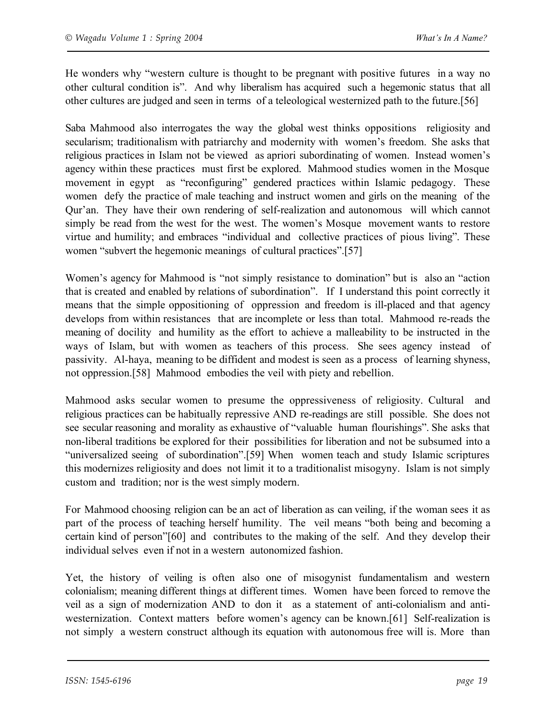He wonders why "western culture is thought to be pregnant with positive futures in a way no other cultural condition is". And why liberalism has acquired such a hegemonic status that all other cultures are judged and seen in terms of a teleological westernized path to the future.[56]

Saba Mahmood also interrogates the way the global west thinks oppositions religiosity and secularism; traditionalism with patriarchy and modernity with women's freedom. She asks that religious practices in Islam not be viewed as apriori subordinating of women. Instead women's agency within these practices must first be explored. Mahmood studies women in the Mosque movement in egypt as "reconfiguring" gendered practices within Islamic pedagogy. These women defy the practice of male teaching and instruct women and girls on the meaning of the Qur'an. They have their own rendering of self-realization and autonomous will which cannot simply be read from the west for the west. The women's Mosque movement wants to restore virtue and humility; and embraces "individual and collective practices of pious living". These women "subvert the hegemonic meanings of cultural practices".[57]

Women's agency for Mahmood is "not simply resistance to domination" but is also an "action that is created and enabled by relations of subordination". If I understand this point correctly it means that the simple oppositioning of oppression and freedom is ill-placed and that agency develops from within resistances that are incomplete or less than total. Mahmood re-reads the meaning of docility and humility as the effort to achieve a malleability to be instructed in the ways of Islam, but with women as teachers of this process. She sees agency instead of passivity. Al-haya, meaning to be diffident and modest is seen as a process of learning shyness, not oppression.[58] Mahmood embodies the veil with piety and rebellion.

Mahmood asks secular women to presume the oppressiveness of religiosity. Cultural and religious practices can be habitually repressive AND re-readings are still possible. She does not see secular reasoning and morality as exhaustive of "valuable human flourishings". She asks that non-liberal traditions be explored for their possibilities for liberation and not be subsumed into a "universalized seeing of subordination".[59] When women teach and study Islamic scriptures this modernizes religiosity and does not limit it to a traditionalist misogyny. Islam is not simply custom and tradition; nor is the west simply modern.

For Mahmood choosing religion can be an act of liberation as can veiling, if the woman sees it as part of the process of teaching herself humility. The veil means "both being and becoming a certain kind of person"[60] and contributes to the making of the self. And they develop their individual selves even if not in a western autonomized fashion.

Yet, the history of veiling is often also one of misogynist fundamentalism and western colonialism; meaning different things at different times. Women have been forced to remove the veil as a sign of modernization AND to don it as a statement of anti-colonialism and antiwesternization. Context matters before women's agency can be known.[61] Self-realization is not simply a western construct although its equation with autonomous free will is. More than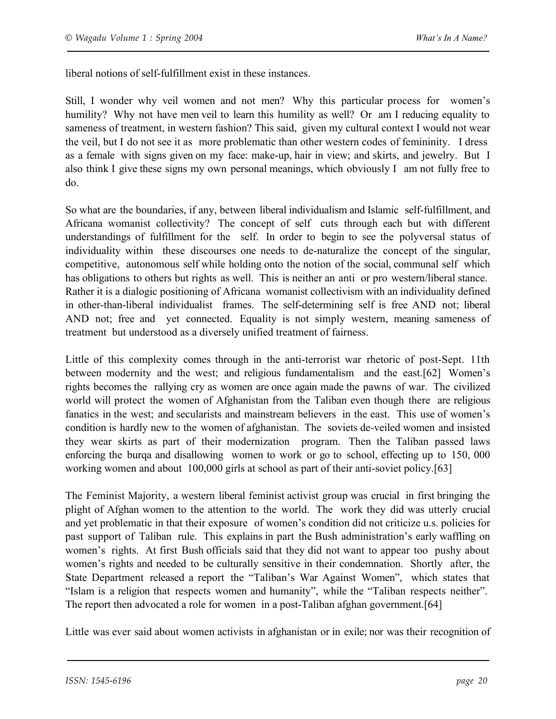liberal notions of self-fulfillment exist in these instances.

Still, I wonder why veil women and not men? Why this particular process for women's humility? Why not have men veil to learn this humility as well? Or am I reducing equality to sameness of treatment, in western fashion? This said, given my cultural context I would not wear the veil, but I do not see it as more problematic than other western codes of femininity. I dress as a female with signs given on my face: make-up, hair in view; and skirts, and jewelry. But I also think I give these signs my own personal meanings, which obviously I am not fully free to do.

So what are the boundaries, if any, between liberal individualism and Islamic self-fulfillment, and Africana womanist collectivity? The concept of self cuts through each but with different understandings of fulfillment for the self. In order to begin to see the polyversal status of individuality within these discourses one needs to de-naturalize the concept of the singular, competitive, autonomous self while holding onto the notion of the social, communal self which has obligations to others but rights as well. This is neither an anti or pro western/liberal stance. Rather it is a dialogic positioning of Africana womanist collectivism with an individuality defined in other-than-liberal individualist frames. The self-determining self is free AND not; liberal AND not; free and yet connected. Equality is not simply western, meaning sameness of treatment but understood as a diversely unified treatment of fairness.

Little of this complexity comes through in the anti-terrorist war rhetoric of post-Sept. 11th between modernity and the west; and religious fundamentalism and the east.[62] Women's rights becomes the rallying cry as women are once again made the pawns of war. The civilized world will protect the women of Afghanistan from the Taliban even though there are religious fanatics in the west; and secularists and mainstream believers in the east. This use of women's condition is hardly new to the women of afghanistan. The soviets de-veiled women and insisted they wear skirts as part of their modernization program. Then the Taliban passed laws enforcing the burqa and disallowing women to work or go to school, effecting up to 150, 000 working women and about 100,000 girls at school as part of their anti-soviet policy.[63]

The Feminist Majority, a western liberal feminist activist group was crucial in first bringing the plight of Afghan women to the attention to the world. The work they did was utterly crucial and yet problematic in that their exposure of women's condition did not criticize u.s. policies for past support of Taliban rule. This explains in part the Bush administration's early waffling on women's rights. At first Bush officials said that they did not want to appear too pushy about women's rights and needed to be culturally sensitive in their condemnation. Shortly after, the State Department released a report the "Taliban's War Against Women", which states that "Islam is a religion that respects women and humanity", while the "Taliban respects neither". The report then advocated a role for women in a post-Taliban afghan government.[64]

Little was ever said about women activists in afghanistan or in exile; nor was their recognition of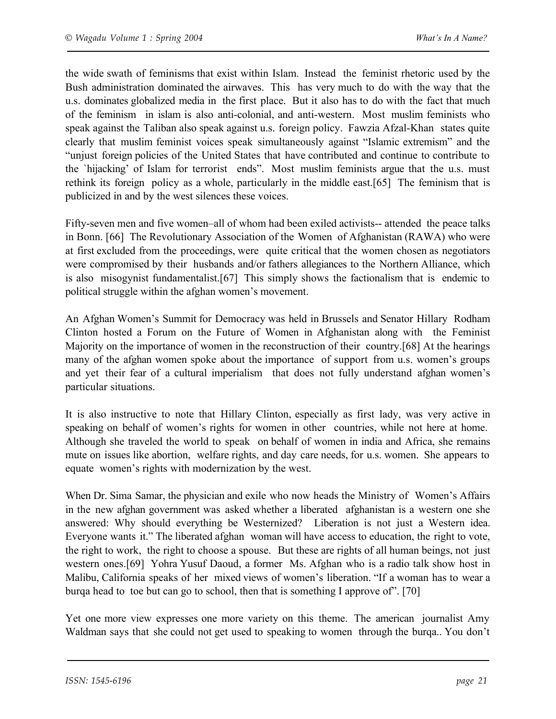the wide swath of feminisms that exist within Islam. Instead the feminist rhetoric used by the Bush administration dominated the airwaves. This has very much to do with the way that the u.s. dominates globalized media in the first place. But it also has to do with the fact that much of the feminism in islam is also anti-colonial, and anti-western. Most muslim feminists who speak against the Taliban also speak against u.s. foreign policy. Fawzia Afzal-Khan states quite clearly that muslim feminist voices speak simultaneously against "Islamic extremism" and the "unjust foreign policies of the United States that have contributed and continue to contribute to the `hijacking' of Islam for terrorist ends". Most muslim feminists argue that the u.s. must rethink its foreign policy as a whole, particularly in the middle east.[65] The feminism that is publicized in and by the west silences these voices.

Fifty-seven men and five women–all of whom had been exiled activists-- attended the peace talks in Bonn. [66] The Revolutionary Association of the Women of Afghanistan (RAWA) who were at first excluded from the proceedings, were quite critical that the women chosen as negotiators were compromised by their husbands and/or fathers allegiances to the Northern Alliance, which is also misogynist fundamentalist.[67] This simply shows the factionalism that is endemic to political struggle within the afghan women's movement.

An Afghan Women's Summit for Democracy was held in Brussels and Senator Hillary Rodham Clinton hosted a Forum on the Future of Women in Afghanistan along with the Feminist Majority on the importance of women in the reconstruction of their country.[68] At the hearings many of the afghan women spoke about the importance of support from u.s. women's groups and yet their fear of a cultural imperialism that does not fully understand afghan women's particular situations.

It is also instructive to note that Hillary Clinton, especially as first lady, was very active in speaking on behalf of women's rights for women in other countries, while not here at home. Although she traveled the world to speak on behalf of women in india and Africa, she remains mute on issues like abortion, welfare rights, and day care needs, for u.s. women. She appears to equate women's rights with modernization by the west.

When Dr. Sima Samar, the physician and exile who now heads the Ministry of Women's Affairs in the new afghan government was asked whether a liberated afghanistan is a western one she answered: Why should everything be Westernized? Liberation is not just a Western idea. Everyone wants it." The liberated afghan woman will have access to education, the right to vote, the right to work, the right to choose a spouse. But these are rights of all human beings, not just western ones.[69] Yohra Yusuf Daoud, a former Ms. Afghan who is a radio talk show host in Malibu, California speaks of her mixed views of women's liberation. "If a woman has to wear a burqa head to toe but can go to school, then that is something I approve of". [70]

Yet one more view expresses one more variety on this theme. The american journalist Amy Waldman says that she could not get used to speaking to women through the burqa.. You don't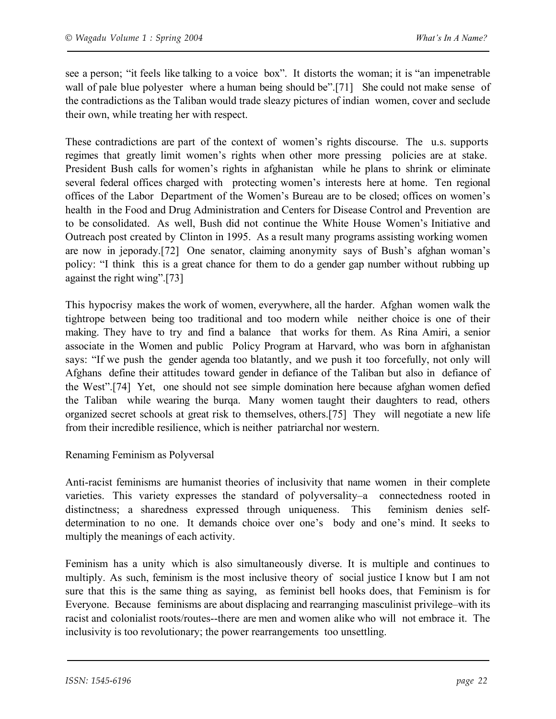see a person; "it feels like talking to a voice box". It distorts the woman; it is "an impenetrable wall of pale blue polyester where a human being should be".[71] She could not make sense of the contradictions as the Taliban would trade sleazy pictures of indian women, cover and seclude their own, while treating her with respect.

These contradictions are part of the context of women's rights discourse. The u.s. supports regimes that greatly limit women's rights when other more pressing policies are at stake. President Bush calls for women's rights in afghanistan while he plans to shrink or eliminate several federal offices charged with protecting women's interests here at home. Ten regional offices of the Labor Department of the Women's Bureau are to be closed; offices on women's health in the Food and Drug Administration and Centers for Disease Control and Prevention are to be consolidated. As well, Bush did not continue the White House Women's Initiative and Outreach post created by Clinton in 1995. As a result many programs assisting working women are now in jeporady.[72] One senator, claiming anonymity says of Bush's afghan woman's policy: "I think this is a great chance for them to do a gender gap number without rubbing up against the right wing".[73]

This hypocrisy makes the work of women, everywhere, all the harder. Afghan women walk the tightrope between being too traditional and too modern while neither choice is one of their making. They have to try and find a balance that works for them. As Rina Amiri, a senior associate in the Women and public Policy Program at Harvard, who was born in afghanistan says: "If we push the gender agenda too blatantly, and we push it too forcefully, not only will Afghans define their attitudes toward gender in defiance of the Taliban but also in defiance of the West".[74] Yet, one should not see simple domination here because afghan women defied the Taliban while wearing the burqa. Many women taught their daughters to read, others organized secret schools at great risk to themselves, others.[75] They will negotiate a new life from their incredible resilience, which is neither patriarchal nor western.

Renaming Feminism as Polyversal

Anti-racist feminisms are humanist theories of inclusivity that name women in their complete varieties. This variety expresses the standard of polyversality–a connectedness rooted in distinctness; a sharedness expressed through uniqueness. This feminism denies selfdetermination to no one. It demands choice over one's body and one's mind. It seeks to multiply the meanings of each activity.

Feminism has a unity which is also simultaneously diverse. It is multiple and continues to multiply. As such, feminism is the most inclusive theory of social justice I know but I am not sure that this is the same thing as saying, as feminist bell hooks does, that Feminism is for Everyone. Because feminisms are about displacing and rearranging masculinist privilege–with its racist and colonialist roots/routes--there are men and women alike who will not embrace it. The inclusivity is too revolutionary; the power rearrangements too unsettling.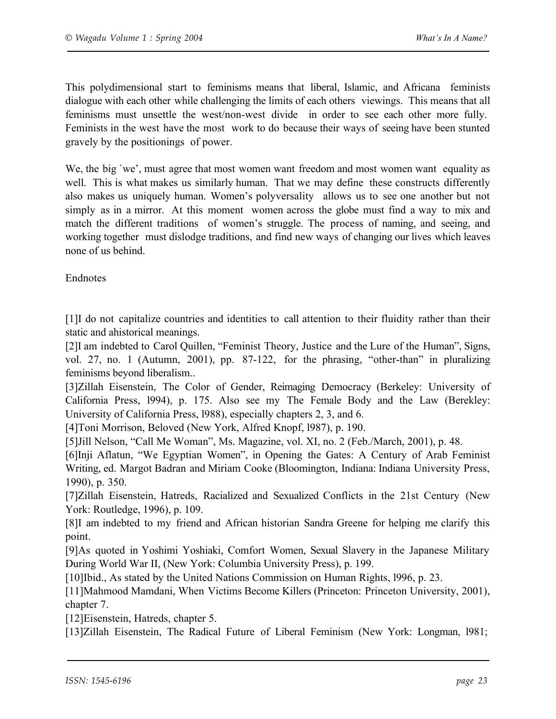This polydimensional start to feminisms means that liberal, Islamic, and Africana feminists dialogue with each other while challenging the limits of each others viewings. This means that all feminisms must unsettle the west/non-west divide in order to see each other more fully. Feminists in the west have the most work to do because their ways of seeing have been stunted gravely by the positionings of power.

We, the big `we', must agree that most women want freedom and most women want equality as well. This is what makes us similarly human. That we may define these constructs differently also makes us uniquely human. Women's polyversality allows us to see one another but not simply as in a mirror. At this moment women across the globe must find a way to mix and match the different traditions of women's struggle. The process of naming, and seeing, and working together must dislodge traditions, and find new ways of changing our lives which leaves none of us behind.

Endnotes

[1]I do not capitalize countries and identities to call attention to their fluidity rather than their static and ahistorical meanings.

[2]I am indebted to Carol Quillen, "Feminist Theory, Justice and the Lure of the Human", Signs, vol. 27, no. 1 (Autumn, 2001), pp. 87-122, for the phrasing, "other-than" in pluralizing feminisms beyond liberalism..

[3]Zillah Eisenstein, The Color of Gender, Reimaging Democracy (Berkeley: University of California Press, l994), p. 175. Also see my The Female Body and the Law (Berekley: University of California Press, l988), especially chapters 2, 3, and 6.

[4]Toni Morrison, Beloved (New York, Alfred Knopf, l987), p. 190.

[5]Jill Nelson, "Call Me Woman", Ms. Magazine, vol. XI, no. 2 (Feb./March, 2001), p. 48.

[6]Inji Aflatun, "We Egyptian Women", in Opening the Gates: A Century of Arab Feminist Writing, ed. Margot Badran and Miriam Cooke (Bloomington, Indiana: Indiana University Press, 1990), p. 350.

[7]Zillah Eisenstein, Hatreds, Racialized and Sexualized Conflicts in the 21st Century (New York: Routledge, 1996), p. 109.

[8]I am indebted to my friend and African historian Sandra Greene for helping me clarify this point.

[9]As quoted in Yoshimi Yoshiaki, Comfort Women, Sexual Slavery in the Japanese Military During World War II, (New York: Columbia University Press), p. 199.

[10]Ibid., As stated by the United Nations Commission on Human Rights, l996, p. 23.

[11]Mahmood Mamdani, When Victims Become Killers (Princeton: Princeton University, 2001), chapter 7.

[12] Eisenstein, Hatreds, chapter 5.

[13]Zillah Eisenstein, The Radical Future of Liberal Feminism (New York: Longman, l981;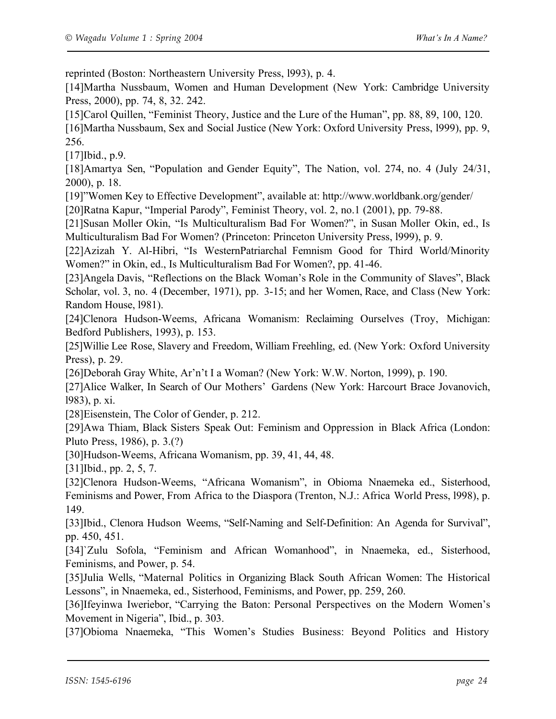reprinted (Boston: Northeastern University Press, l993), p. 4.

[14]Martha Nussbaum, Women and Human Development (New York: Cambridge University Press, 2000), pp. 74, 8, 32. 242.

[15]Carol Quillen, "Feminist Theory, Justice and the Lure of the Human", pp. 88, 89, 100, 120. [16]Martha Nussbaum, Sex and Social Justice (New York: Oxford University Press, l999), pp. 9, 256.

[17]Ibid., p.9.

[18]Amartya Sen, "Population and Gender Equity", The Nation, vol. 274, no. 4 (July 24/31, 2000), p. 18.

[19]"Women Key to Effective Development", available at: http://www.worldbank.org/gender/

[20]Ratna Kapur, "Imperial Parody", Feminist Theory, vol. 2, no.1 (2001), pp. 79-88.

[21]Susan Moller Okin, "Is Multiculturalism Bad For Women?", in Susan Moller Okin, ed., Is Multiculturalism Bad For Women? (Princeton: Princeton University Press, l999), p. 9.

[22]Azizah Y. Al-Hibri, "Is WesternPatriarchal Femnism Good for Third World/Minority Women?" in Okin, ed., Is Multiculturalism Bad For Women?, pp. 41-46.

[23]Angela Davis, "Reflections on the Black Woman's Role in the Community of Slaves", Black Scholar, vol. 3, no. 4 (December, 1971), pp. 3-15; and her Women, Race, and Class (New York: Random House, l981).

[24]Clenora Hudson-Weems, Africana Womanism: Reclaiming Ourselves (Troy, Michigan: Bedford Publishers, 1993), p. 153.

[25]Willie Lee Rose, Slavery and Freedom, William Freehling, ed. (New York: Oxford University Press), p. 29.

[26]Deborah Gray White, Ar'n't I a Woman? (New York: W.W. Norton, 1999), p. 190.

[27]Alice Walker, In Search of Our Mothers' Gardens (New York: Harcourt Brace Jovanovich, l983), p. xi.

[28] Eisenstein, The Color of Gender, p. 212.

[29]Awa Thiam, Black Sisters Speak Out: Feminism and Oppression in Black Africa (London: Pluto Press, 1986), p. 3.(?)

[30]Hudson-Weems, Africana Womanism, pp. 39, 41, 44, 48.

[31]Ibid., pp. 2, 5, 7.

[32]Clenora Hudson-Weems, "Africana Womanism", in Obioma Nnaemeka ed., Sisterhood, Feminisms and Power, From Africa to the Diaspora (Trenton, N.J.: Africa World Press, l998), p. 149.

[33]Ibid., Clenora Hudson Weems, "Self-Naming and Self-Definition: An Agenda for Survival", pp. 450, 451.

[34]'Zulu Sofola, "Feminism and African Womanhood", in Nnaemeka, ed., Sisterhood, Feminisms, and Power, p. 54.

[35]Julia Wells, "Maternal Politics in Organizing Black South African Women: The Historical Lessons", in Nnaemeka, ed., Sisterhood, Feminisms, and Power, pp. 259, 260.

[36]Ifeyinwa Iweriebor, "Carrying the Baton: Personal Perspectives on the Modern Women's Movement in Nigeria", Ibid., p. 303.

[37]Obioma Nnaemeka, "This Women's Studies Business: Beyond Politics and History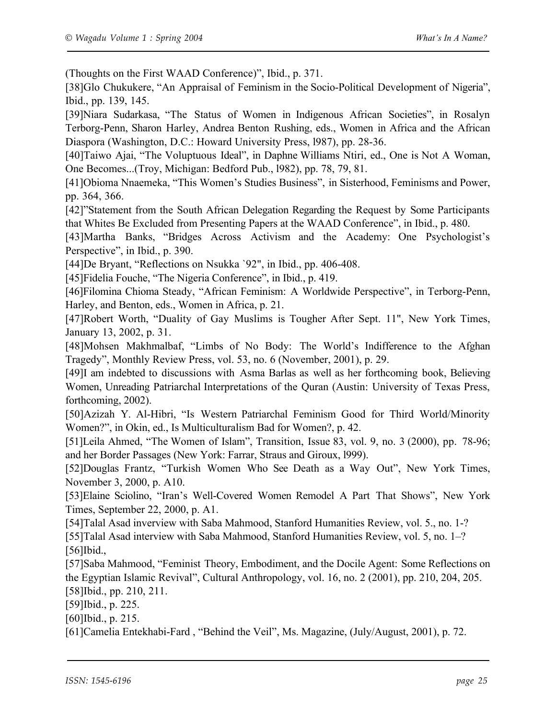(Thoughts on the First WAAD Conference)", Ibid., p. 371.

[38]Glo Chukukere, "An Appraisal of Feminism in the Socio-Political Development of Nigeria", Ibid., pp. 139, 145.

[39]Niara Sudarkasa, "The Status of Women in Indigenous African Societies", in Rosalyn Terborg-Penn, Sharon Harley, Andrea Benton Rushing, eds., Women in Africa and the African Diaspora (Washington, D.C.: Howard University Press, l987), pp. 28-36.

[40]Taiwo Ajai, "The Voluptuous Ideal", in Daphne Williams Ntiri, ed., One is Not A Woman, One Becomes...(Troy, Michigan: Bedford Pub., l982), pp. 78, 79, 81.

[41]Obioma Nnaemeka, "This Women's Studies Business", in Sisterhood, Feminisms and Power, pp. 364, 366.

[42]"Statement from the South African Delegation Regarding the Request by Some Participants that Whites Be Excluded from Presenting Papers at the WAAD Conference", in Ibid., p. 480.

[43]Martha Banks, "Bridges Across Activism and the Academy: One Psychologist's Perspective", in Ibid., p. 390.

[44]De Bryant, "Reflections on Nsukka `92", in Ibid., pp. 406-408.

[45]Fidelia Fouche, "The Nigeria Conference", in Ibid., p. 419.

[46]Filomina Chioma Steady, "African Feminism: A Worldwide Perspective", in Terborg-Penn, Harley, and Benton, eds., Women in Africa, p. 21.

[47]Robert Worth, "Duality of Gay Muslims is Tougher After Sept. 11", New York Times, January 13, 2002, p. 31.

[48]Mohsen Makhmalbaf, "Limbs of No Body: The World's Indifference to the Afghan Tragedy", Monthly Review Press, vol. 53, no. 6 (November, 2001), p. 29.

[49]I am indebted to discussions with Asma Barlas as well as her forthcoming book, Believing Women, Unreading Patriarchal Interpretations of the Quran (Austin: University of Texas Press, forthcoming, 2002).

[50]Azizah Y. Al-Hibri, "Is Western Patriarchal Feminism Good for Third World/Minority Women?", in Okin, ed., Is Multiculturalism Bad for Women?, p. 42.

[51]Leila Ahmed, "The Women of Islam", Transition, Issue 83, vol. 9, no. 3 (2000), pp. 78-96; and her Border Passages (New York: Farrar, Straus and Giroux, l999).

[52]Douglas Frantz, "Turkish Women Who See Death as a Way Out", New York Times, November 3, 2000, p. A10.

[53]Elaine Sciolino, "Iran's Well-Covered Women Remodel A Part That Shows", New York Times, September 22, 2000, p. A1.

[54]Talal Asad inverview with Saba Mahmood, Stanford Humanities Review, vol. 5., no. 1-?

[55]Talal Asad interview with Saba Mahmood, Stanford Humanities Review, vol. 5, no. 1–?  $[56]$ Ibid.,

[57]Saba Mahmood, "Feminist Theory, Embodiment, and the Docile Agent: Some Reflections on the Egyptian Islamic Revival", Cultural Anthropology, vol. 16, no. 2 (2001), pp. 210, 204, 205. [58]Ibid., pp. 210, 211.

[59]Ibid., p. 225.

[60]Ibid., p. 215.

[61]Camelia Entekhabi-Fard , "Behind the Veil", Ms. Magazine, (July/August, 2001), p. 72.